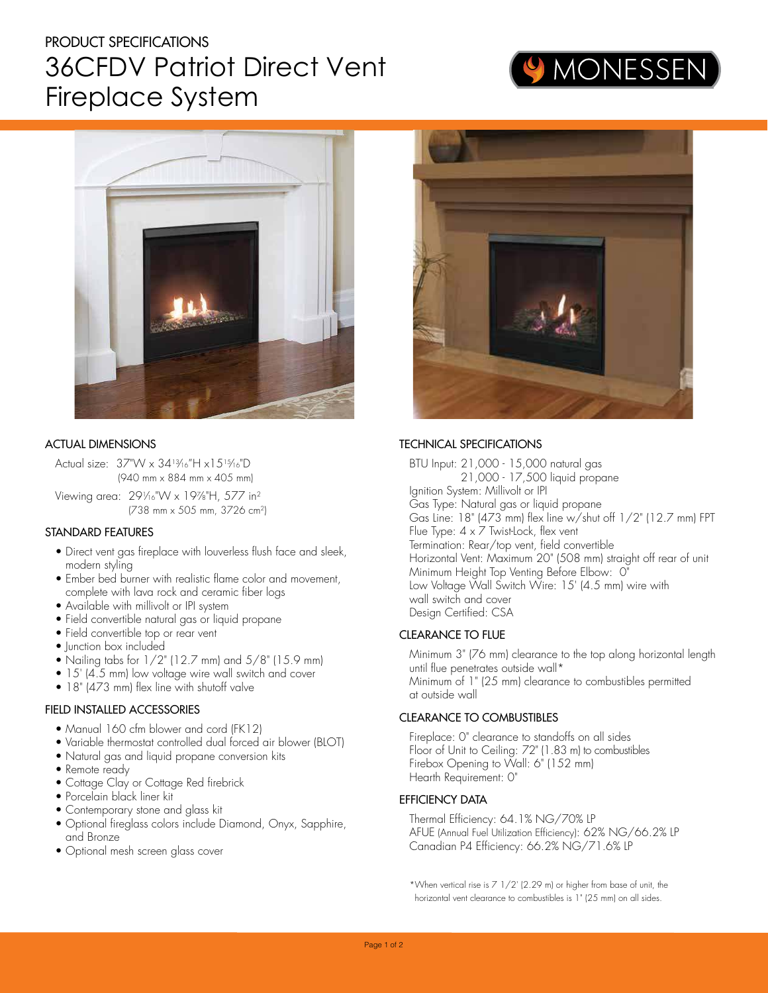## PRODUCT SPECIFICATIONS 36CFDV Patriot Direct Vent Fireplace System





### ACTUAL DIMENSIONS

Actual size: 37"W x 3413⁄16"H x1515⁄16"D (940 mm x 884 mm x 405 mm)

Viewing area: 29<sup>1</sup> ⁄16"W x 19<sup>7</sup> ⁄8"H, 577 in<sup>2</sup> (738 mm x 505 mm, 3726 cm<sup>2</sup> )

### STANDARD FEATURES

- Direct vent gas fireplace with louverless flush face and sleek, modern styling
- Ember bed burner with realistic flame color and movement, complete with lava rock and ceramic fiber logs
- Available with millivolt or IPI system
- Field convertible natural gas or liquid propane
- Field convertible top or rear vent
- Iunction box included
- Nailing tabs for  $1/2$ " (12.7 mm) and  $5/8$ " (15.9 mm)
- 15' (4.5 mm) low voltage wire wall switch and cover
- 18" (473 mm) flex line with shutoff valve

### FIELD INSTALLED ACCESSORIES

- Manual 160 cfm blower and cord (FK12)
- Variable thermostat controlled dual forced air blower (BLOT)
- Natural gas and liquid propane conversion kits
- Remote ready
- Cottage Clay or Cottage Red firebrick
- Porcelain black liner kit
- Contemporary stone and glass kit
- Optional fireglass colors include Diamond, Onyx, Sapphire, and Bronze
- Optional mesh screen glass cover



## TECHNICAL SPECIFICATIONS

BTU Input: 21,000 - 15,000 natural gas 21,000 - 17,500 liquid propane Ignition System: Millivolt or IPI Gas Type: Natural gas or liquid propane Gas Line: 18" (473 mm) flex line w/shut off 1/2" (12.7 mm) FPT Flue Type: 4 x 7 Twist-Lock, flex vent Termination: Rear/top vent, field convertible Horizontal Vent: Maximum 20" (508 mm) straight off rear of unit Minimum Height Top Venting Before Elbow: 0" Low Voltage Wall Switch Wire: 15' (4.5 mm) wire with wall switch and cover Design Certified: CSA

## CLEARANCE TO FLUE

Minimum 3" (76 mm) clearance to the top along horizontal length until flue penetrates outside wall\* Minimum of 1" (25 mm) clearance to combustibles permitted at outside wall

## CLEARANCE TO COMBUSTIBLES

Fireplace: 0" clearance to standoffs on all sides Floor of Unit to Ceiling: 72" (1.83 m) to combustibles Firebox Opening to Wall: 6" (152 mm) Hearth Requirement: 0"

## EFFICIENCY DATA

Thermal Efficiency: 64.1% NG/70% LP AFUE (Annual Fuel Utilization Efficiency): 62% NG/66.2% LP Canadian P4 Efficiency: 66.2% NG/71.6% LP

\* When vertical rise is 7 1/2' (2.29 m) or higher from base of unit, the horizontal vent clearance to combustibles is 1" (25 mm) on all sides.